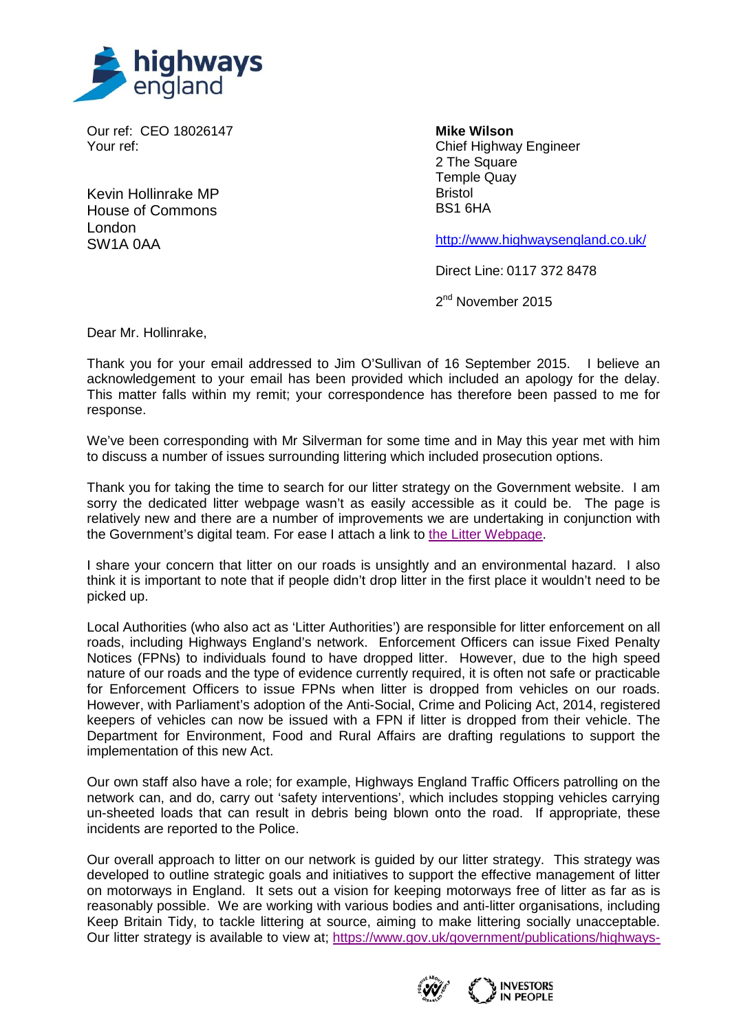

Our ref: CEO 18026147 Your ref:

Kevin Hollinrake MP House of Commons London SW1A 0AA

**Mike Wilson** Chief Highway Engineer 2 The Square Temple Quay Bristol BS1 6HA

<http://www.highwaysengland.co.uk/>

Direct Line: 0117 372 8478

2<sup>nd</sup> November 2015

Dear Mr. Hollinrake,

Thank you for your email addressed to Jim O'Sullivan of 16 September 2015. I believe an acknowledgement to your email has been provided which included an apology for the delay. This matter falls within my remit; your correspondence has therefore been passed to me for response.

We've been corresponding with Mr Silverman for some time and in May this year met with him to discuss a number of issues surrounding littering which included prosecution options.

Thank you for taking the time to search for our litter strategy on the Government website. I am sorry the dedicated litter webpage wasn't as easily accessible as it could be. The page is relatively new and there are a number of improvements we are undertaking in conjunction with the Government's digital team. For ease I attach a link to [the Litter Webpage.](https://www.gov.uk/government/collections/litter-on-englands-major-roads)

I share your concern that litter on our roads is unsightly and an environmental hazard. I also think it is important to note that if people didn't drop litter in the first place it wouldn't need to be picked up.

Local Authorities (who also act as 'Litter Authorities') are responsible for litter enforcement on all roads, including Highways England's network. Enforcement Officers can issue Fixed Penalty Notices (FPNs) to individuals found to have dropped litter. However, due to the high speed nature of our roads and the type of evidence currently required, it is often not safe or practicable for Enforcement Officers to issue FPNs when litter is dropped from vehicles on our roads. However, with Parliament's adoption of the Anti-Social, Crime and Policing Act, 2014, registered keepers of vehicles can now be issued with a FPN if litter is dropped from their vehicle. The Department for Environment, Food and Rural Affairs are drafting regulations to support the implementation of this new Act.

Our own staff also have a role; for example, Highways England Traffic Officers patrolling on the network can, and do, carry out 'safety interventions', which includes stopping vehicles carrying un-sheeted loads that can result in debris being blown onto the road. If appropriate, these incidents are reported to the Police.

Our overall approach to litter on our network is guided by our litter strategy. This strategy was developed to outline strategic goals and initiatives to support the effective management of litter on motorways in England. It sets out a vision for keeping motorways free of litter as far as is reasonably possible. We are working with various bodies and anti-litter organisations, including Keep Britain Tidy, to tackle littering at source, aiming to make littering socially unacceptable. Our litter strategy is available to view at; [https://www.gov.uk/government/publications/highways-](https://www.gov.uk/government/publications/highways-agency-litter-strategy)